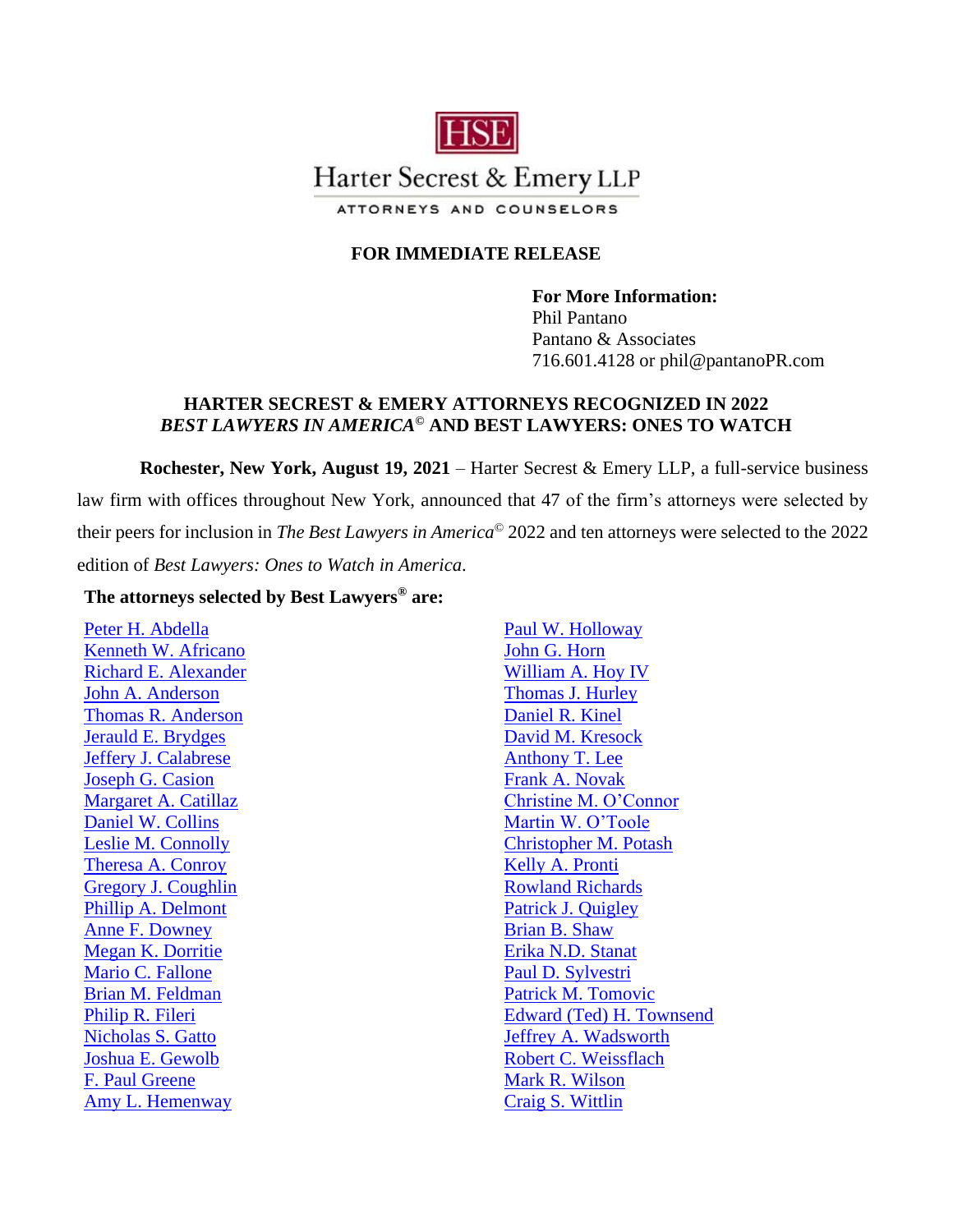

# Harter Secrest & Emery LLP

ATTORNEYS AND COUNSELORS

# **FOR IMMEDIATE RELEASE**

**For More Information:** Phil Pantano Pantano & Associates 716.601.4128 or phil@pantanoPR.com

## **HARTER SECREST & EMERY ATTORNEYS RECOGNIZED IN 2022** *BEST LAWYERS IN AMERICA***© AND BEST LAWYERS: ONES TO WATCH**

**Rochester, New York, August 19, 2021** – Harter Secrest & Emery LLP, a full-service business law firm with offices throughout New York, announced that 47 of the firm's attorneys were selected by their peers for inclusion in *The Best Lawyers in America*© 2022 and ten attorneys were selected to the 2022 edition of *Best Lawyers: Ones to Watch in America*.

## **The attorneys selected by Best Lawyers***®* **are:**

[Peter H. Abdella](https://www.hselaw.com/people/113-peter-h-abdella) [Kenneth W. Africano](https://www.hselaw.com/people/114-kenneth-w-africano) [Richard E. Alexander](https://www.hselaw.com/people/111-richard-e-alexander) [John A. Anderson](https://www.hselaw.com/people/6-john-a-anderson) [Thomas R. Anderson](https://www.hselaw.com/people/110-thomas-r-anderson) [Jerauld E. Brydges](https://www.hselaw.com/people/101-jerauld-e-brydges) [Jeffery J. Calabrese](https://www.hselaw.com/people/100-jeffrey-j-calabrese) [Joseph G. Casion](https://www.hselaw.com/people/99-joseph-g-casion) [Margaret A. Catillaz](https://www.hselaw.com/people/98-margaret-a-catillaz) [Daniel W. Collins](https://www.hselaw.com/people/17-daniel-w-collins) [Leslie M. Connolly](https://www.hselaw.com/people/130-leslie-m-connolly) [Theresa A. Conroy](https://hselaw.com/people/97-theresa-a-conroy) [Gregory J. Coughlin](https://www.hselaw.com/people/96-gregory-j-coughlin) [Phillip A. Delmont](https://www.hselaw.com/people/93-phillip-a-delmont) [Anne F. Downey](https://www.hselaw.com/people/289-anne-f--downey) [Megan K. Dorritie](https://www.hselaw.com/people/90-megan-k-dorritie) [Mario C. Fallone](https://www.hselaw.com/people/51-mario-c-fallone) [Brian M. Feldman](https://www.hselaw.com/people/50-brian-m-feldman) [Philip R. Fileri](https://www.hselaw.com/people/86-philip-r-fileri) [Nicholas S. Gatto](https://www.hselaw.com/people/204-nicholas-s--gatto) [Joshua E. Gewolb](https://www.hselaw.com/people/26-joshua-e-gewolb) [F. Paul Greene](https://www.hselaw.com/people/24-f-paul-greene) [Amy L. Hemenway](https://www.hselaw.com/people/79-amy-l-hemenway)

[Paul W. Holloway](https://www.hselaw.com/people/77-paul-w-holloway) [John G. Horn](https://www.hselaw.com/people/75-john-g-horn) [William A. Hoy IV](https://www.hselaw.com/people/73-william-a-hoy-iv) [Thomas J. Hurley](https://www.hselaw.com/people/72-thomas-j-hurley) [Daniel R. Kinel](https://www.hselaw.com/people/67-daniel-r-kinel) [David M. Kresock](https://www.hselaw.com/people/65-david-m-kresock) [Anthony T. Lee](https://www.hselaw.com/people/39-anthony-t-lee) [Frank A. Novak](https://www.hselaw.com/people/150-frank-a-novak) [Christine M. O'Connor](https://www.hselaw.com/people/36-christine-m-oconnor) [Martin W. O'Toole](https://www.hselaw.com/people/149-martin-w-otoole) [Christopher M. Potash](https://www.hselaw.com/people/145-christopher-m-potash) [Kelly A. Pronti](https://www.hselaw.com/people/142-kelly-a-pronti) [Rowland Richards](https://www.hselaw.com/people/242-rowland-richards) [Patrick J. Quigley](https://www.hselaw.com/people/140-patrick-j-quigley) [Brian B. Shaw](https://www.hselaw.com/people/127-brian-b-shaw) [Erika N.D. Stanat](https://www.hselaw.com/people/120-erika-n-d-stanat) [Paul D. Sylvestri](https://www.hselaw.com/people/116-paul-d-sylvestri) [Patrick M. Tomovic](https://www.hselaw.com/people/249-patrick-m-tomovic) [Edward \(Ted\) H. Townsend](https://www.hselaw.com/people/49-edward-h-townsend-ted) Jeffrey [A. Wadsworth](https://www.hselaw.com/people/7-jeffrey-a-wadsworth) [Robert C. Weissflach](https://www.hselaw.com/people/9-robert-c-weissflach) [Mark R. Wilson](https://www.hselaw.com/people/12-mark-r-wilson) [Craig S. Wittlin](https://www.hselaw.com/people/14-craig-s-wittlin)